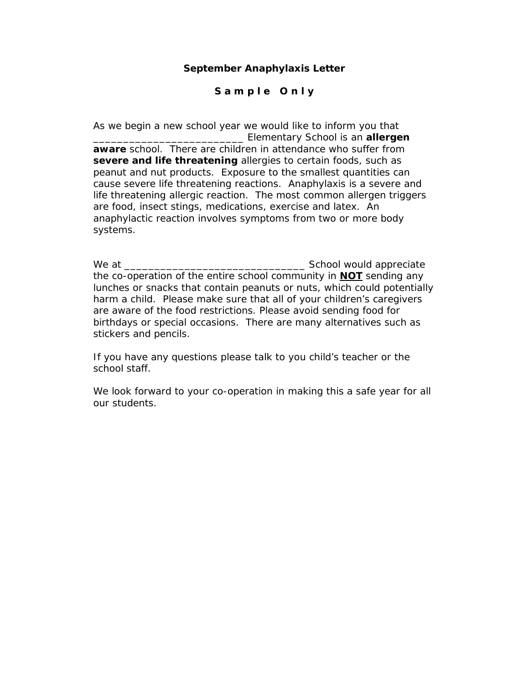### **September Anaphylaxis Letter**

# **S a m p l e O n l y**

As we begin a new school year we would like to inform you that \_\_\_\_\_\_\_\_\_\_\_\_\_\_\_\_\_\_\_\_\_\_\_\_\_ Elementary School is an **allergen** 

**aware** school. There are children in attendance who suffer from **severe and life threatening** allergies to certain foods, such as peanut and nut products. Exposure to the smallest quantities can cause severe life threatening reactions. Anaphylaxis is a severe and life threatening allergic reaction. The most common allergen triggers are food, insect stings, medications, exercise and latex. An anaphylactic reaction involves symptoms from two or more body systems.

We at \_\_\_\_\_\_\_\_\_\_\_\_\_\_\_\_\_\_\_\_\_\_\_\_\_\_\_\_\_\_ School would appreciate the co-operation of the entire school community in **NOT** sending any lunches or snacks that contain peanuts or nuts, which could potentially harm a child. Please make sure that all of your children's caregivers are aware of the food restrictions. Please avoid sending food for birthdays or special occasions. There are many alternatives such as stickers and pencils.

If you have any questions please talk to you child's teacher or the school staff.

We look forward to your co-operation in making this a safe year for all our students.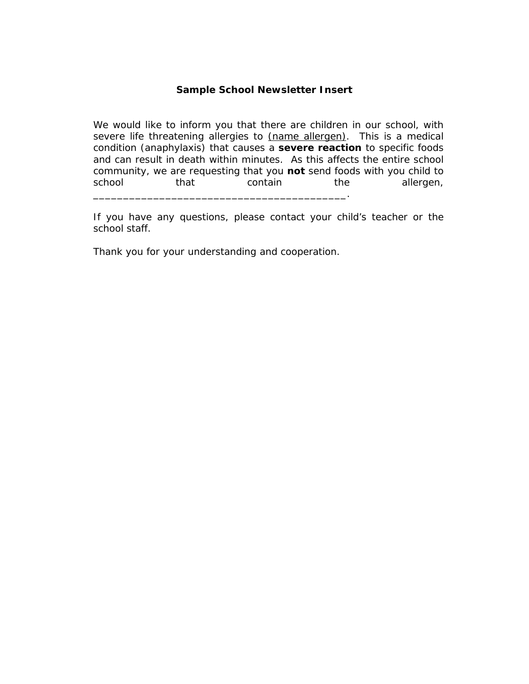#### **Sample School Newsletter Insert**

We would like to inform you that there are children in our school, with severe life threatening allergies to (name allergen). This is a medical condition (anaphylaxis) that causes a *severe reaction* to specific foods and can result in death within minutes. As this affects the entire school community, we are requesting that you *not* send foods with you child to school that contain the allergen,

If you have any questions, please contact your child's teacher or the school staff.

Thank you for your understanding and cooperation.

\_\_\_\_\_\_\_\_\_\_\_\_\_\_\_\_\_\_\_\_\_\_\_\_\_\_\_\_\_\_\_\_\_\_\_\_\_\_\_\_\_\_.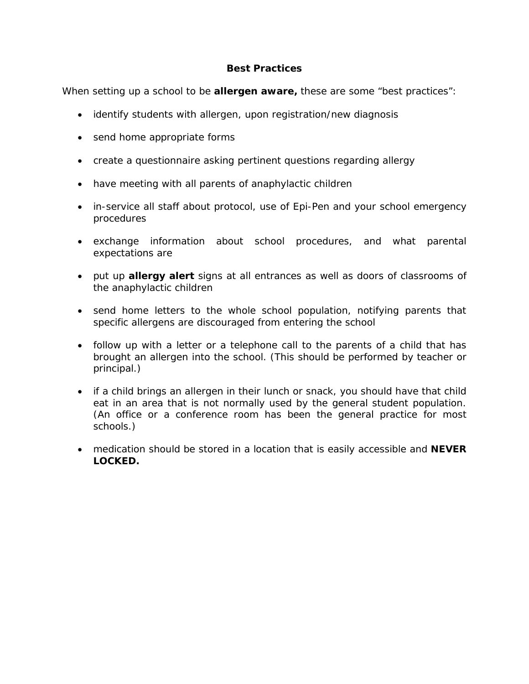# **Best Practices**

When setting up a school to be **allergen aware,** these are some "best practices":

- identify students with allergen, upon registration/new diagnosis
- send home appropriate forms
- create a questionnaire asking pertinent questions regarding allergy
- have meeting with all parents of anaphylactic children
- in-service all staff about protocol, use of Epi-Pen and your school emergency procedures
- exchange information about school procedures, and what parental expectations are
- put up **allergy alert** signs at all entrances as well as doors of classrooms of the anaphylactic children
- send home letters to the whole school population, notifying parents that specific allergens are discouraged from entering the school
- follow up with a letter or a telephone call to the parents of a child that has brought an allergen into the school. (This should be performed by teacher or principal.)
- if a child brings an allergen in their lunch or snack, you should have that child eat in an area that is not normally used by the general student population. (An office or a conference room has been the general practice for most schools.)
- medication should be stored in a location that is easily accessible and **NEVER LOCKED.**